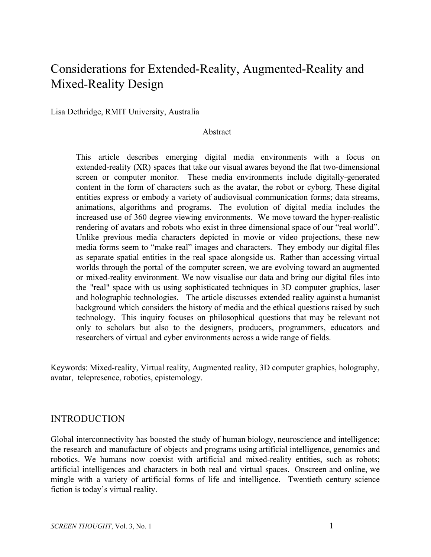# Considerations for Extended-Reality, Augmented-Reality and Mixed-Reality Design

Lisa Dethridge, RMIT University, Australia

#### Abstract

This article describes emerging digital media environments with a focus on extended-reality (XR) spaces that take our visual awares beyond the flat two-dimensional screen or computer monitor. These media environments include digitally-generated content in the form of characters such as the avatar, the robot or cyborg. These digital entities express or embody a variety of audiovisual communication forms; data streams, animations, algorithms and programs. The evolution of digital media includes the increased use of 360 degree viewing environments. We move toward the hyper-realistic rendering of avatars and robots who exist in three dimensional space of our "real world". Unlike previous media characters depicted in movie or video projections, these new media forms seem to "make real" images and characters. They embody our digital files as separate spatial entities in the real space alongside us. Rather than accessing virtual worlds through the portal of the computer screen, we are evolving toward an augmented or mixed-reality environment. We now visualise our data and bring our digital files into the "real" space with us using sophisticated techniques in 3D computer graphics, laser and holographic technologies. The article discusses extended reality against a humanist background which considers the history of media and the ethical questions raised by such technology. This inquiry focuses on philosophical questions that may be relevant not only to scholars but also to the designers, producers, programmers, educators and researchers of virtual and cyber environments across a wide range of fields.

Keywords: Mixed-reality, Virtual reality, Augmented reality, 3D computer graphics, holography, avatar, telepresence, robotics, epistemology.

#### INTRODUCTION

Global interconnectivity has boosted the study of human biology, neuroscience and intelligence; the research and manufacture of objects and programs using artificial intelligence, genomics and robotics. We humans now coexist with artificial and mixed-reality entities, such as robots; artificial intelligences and characters in both real and virtual spaces. Onscreen and online, we mingle with a variety of artificial forms of life and intelligence. Twentieth century science fiction is today's virtual reality.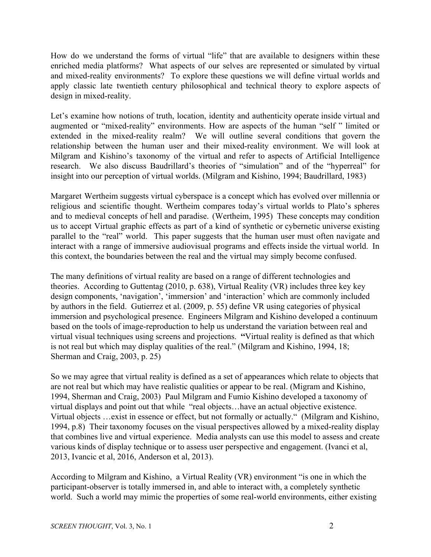How do we understand the forms of virtual "life" that are available to designers within these enriched media platforms? What aspects of our selves are represented or simulated by virtual and mixed-reality environments? To explore these questions we will define virtual worlds and apply classic late twentieth century philosophical and technical theory to explore aspects of design in mixed-reality.

Let's examine how notions of truth, location, identity and authenticity operate inside virtual and augmented or "mixed-reality" environments. How are aspects of the human "self " limited or extended in the mixed-reality realm? We will outline several conditions that govern the relationship between the human user and their mixed-reality environment. We will look at Milgram and Kishino's taxonomy of the virtual and refer to aspects of Artificial Intelligence research. We also discuss Baudrillard's theories of "simulation" and of the "hyperreal" for insight into our perception of virtual worlds. (Milgram and Kishino, 1994; Baudrillard, 1983)

Margaret Wertheim suggests virtual cyberspace is a concept which has evolved over millennia or religious and scientific thought. Wertheim compares today's virtual worlds to Plato's spheres and to medieval concepts of hell and paradise. (Wertheim, 1995) These concepts may condition us to accept Virtual graphic effects as part of a kind of synthetic or cybernetic universe existing parallel to the "real" world. This paper suggests that the human user must often navigate and interact with a range of immersive audiovisual programs and effects inside the virtual world. In this context, the boundaries between the real and the virtual may simply become confused.

The many definitions of virtual reality are based on a range of different technologies and theories. According to Guttentag (2010, p. 638), Virtual Reality (VR) includes three key key design components, 'navigation', 'immersion' and 'interaction' which are commonly included by authors in the field. Gutierrez et al. (2009, p. 55) define VR using categories of physical immersion and psychological presence. Engineers Milgram and Kishino developed a continuum based on the tools of image-reproduction to help us understand the variation between real and virtual visual techniques using screens and projections. **"**Virtual reality is defined as that which is not real but which may display qualities of the real." (Milgram and Kishino, 1994, 18; Sherman and Craig, 2003, p. 25)

So we may agree that virtual reality is defined as a set of appearances which relate to objects that are not real but which may have realistic qualities or appear to be real. (Migram and Kishino, 1994, Sherman and Craig, 2003) Paul Milgram and Fumio Kishino developed a taxonomy of virtual displays and point out that while "real objects…have an actual objective existence. Virtual objects …exist in essence or effect, but not formally or actually." (Milgram and Kishino, 1994, p.8) Their taxonomy focuses on the visual perspectives allowed by a mixed-reality display that combines live and virtual experience. Media analysts can use this model to assess and create various kinds of display technique or to assess user perspective and engagement. (Ivanci et al, 2013, Ivancic et al, 2016, Anderson et al, 2013).

According to Milgram and Kishino, a Virtual Reality (VR) environment "is one in which the participant-observer is totally immersed in, and able to interact with, a completely synthetic world. Such a world may mimic the properties of some real-world environments, either existing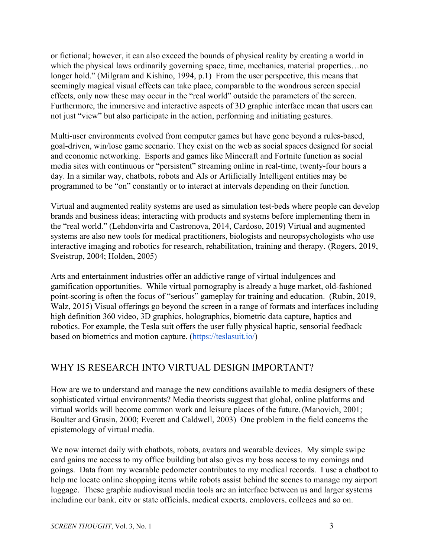or fictional; however, it can also exceed the bounds of physical reality by creating a world in which the physical laws ordinarily governing space, time, mechanics, material properties...no longer hold." (Milgram and Kishino, 1994, p.1) From the user perspective, this means that seemingly magical visual effects can take place, comparable to the wondrous screen special effects, only now these may occur in the "real world" outside the parameters of the screen. Furthermore, the immersive and interactive aspects of 3D graphic interface mean that users can not just "view" but also participate in the action, performing and initiating gestures.

Multi-user environments evolved from computer games but have gone beyond a rules-based, goal-driven, win/lose game scenario. They exist on the web as social spaces designed for social and economic networking. Esports and games like Minecraft and Fortnite function as social media sites with continuous or "persistent" streaming online in real-time, twenty-four hours a day. In a similar way, chatbots, robots and AIs or Artificially Intelligent entities may be programmed to be "on" constantly or to interact at intervals depending on their function.

Virtual and augmented reality systems are used as simulation test-beds where people can develop brands and business ideas; interacting with products and systems before implementing them in the "real world." (Lehdonvirta and Castronova, 2014, Cardoso, 2019) Virtual and augmented systems are also new tools for medical practitioners, biologists and neuropsychologists who use interactive imaging and robotics for research, rehabilitation, training and therapy. (Rogers, 2019, Sveistrup, 2004; Holden, 2005)

Arts and entertainment industries offer an addictive range of virtual indulgences and gamification opportunities. While virtual pornography is already a huge market, old-fashioned point-scoring is often the focus of "serious" gameplay for training and education. (Rubin, 2019, Walz, 2015) Visual offerings go beyond the screen in a range of formats and interfaces including high definition 360 video, 3D graphics, holographics, biometric data capture, haptics and robotics. For example, the Tesla suit offers the user fully physical haptic, sensorial feedback based on biometrics and motion capture. ([https://teslasuit.io/\)](https://teslasuit.io/)

# WHY IS RESEARCH INTO VIRTUAL DESIGN IMPORTANT?

How are we to understand and manage the new conditions available to media designers of these sophisticated virtual environments? Media theorists suggest that global, online platforms and virtual worlds will become common work and leisure places of the future. (Manovich, 2001; Boulter and Grusin, 2000; Everett and Caldwell, 2003) One problem in the field concerns the epistemology of virtual media.

We now interact daily with chatbots, robots, avatars and wearable devices. My simple swipe card gains me access to my office building but also gives my boss access to my comings and goings. Data from my wearable pedometer contributes to my medical records. I use a chatbot to help me locate online shopping items while robots assist behind the scenes to manage my airport luggage. These graphic audiovisual media tools are an interface between us and larger systems including our bank, city or state officials, medical experts, employers, colleges and so on.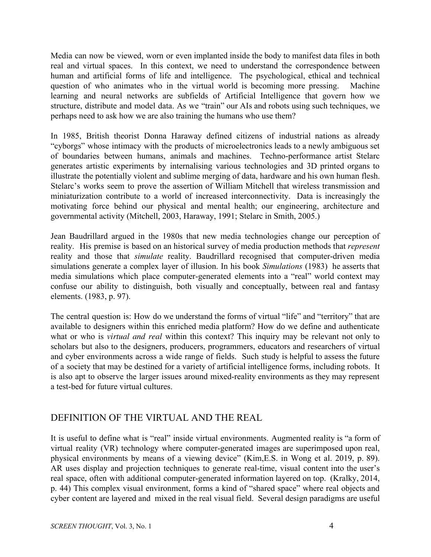Media can now be viewed, worn or even implanted inside the body to manifest data files in both real and virtual spaces. In this context, we need to understand the correspondence between human and artificial forms of life and intelligence. The psychological, ethical and technical question of who animates who in the virtual world is becoming more pressing. Machine learning and neural networks are subfields of Artificial Intelligence that govern how we structure, distribute and model data. As we "train" our AIs and robots using such techniques, we perhaps need to ask how we are also training the humans who use them?

In 1985, British theorist Donna Haraway defined citizens of industrial nations as already "cyborgs" whose intimacy with the products of microelectronics leads to a newly ambiguous set of boundaries between humans, animals and machines. Techno-performance artist Stelarc generates artistic experiments by internalising various technologies and 3D printed organs to illustrate the potentially violent and sublime merging of data, hardware and his own human flesh. Stelarc's works seem to prove the assertion of William Mitchell that wireless transmission and miniaturization contribute to a world of increased interconnectivity. Data is increasingly the motivating force behind our physical and mental health; our engineering, architecture and governmental activity (Mitchell, 2003, Haraway, 1991; Stelarc in Smith, 2005.)

Jean Baudrillard argued in the 1980s that new media technologies change our perception of reality. His premise is based on an historical survey of media production methods that *represent* reality and those that *simulate* reality. Baudrillard recognised that computer-driven media simulations generate a complex layer of illusion. In his book *Simulations* (1983) he asserts that media simulations which place computer-generated elements into a "real" world context may confuse our ability to distinguish, both visually and conceptually, between real and fantasy elements. (1983, p. 97).

The central question is: How do we understand the forms of virtual "life" and "territory" that are available to designers within this enriched media platform? How do we define and authenticate what or who is *virtual and real* within this context? This inquiry may be relevant not only to scholars but also to the designers, producers, programmers, educators and researchers of virtual and cyber environments across a wide range of fields. Such study is helpful to assess the future of a society that may be destined for a variety of artificial intelligence forms, including robots. It is also apt to observe the larger issues around mixed-reality environments as they may represent a test-bed for future virtual cultures.

### DEFINITION OF THE VIRTUAL AND THE REAL

It is useful to define what is "real" inside virtual environments. Augmented reality is "a form of virtual reality (VR) technology where computer-generated images are superimposed upon real, physical environments by means of a viewing device" (Kim,E.S. in Wong et al. 2019, p. 89). AR uses display and projection techniques to generate real-time, visual content into the user's real space, often with additional computer-generated information layered on top. (Kralky, 2014, p. 44) This complex visual environment, forms a kind of "shared space" where real objects and cyber content are layered and mixed in the real visual field. Several design paradigms are useful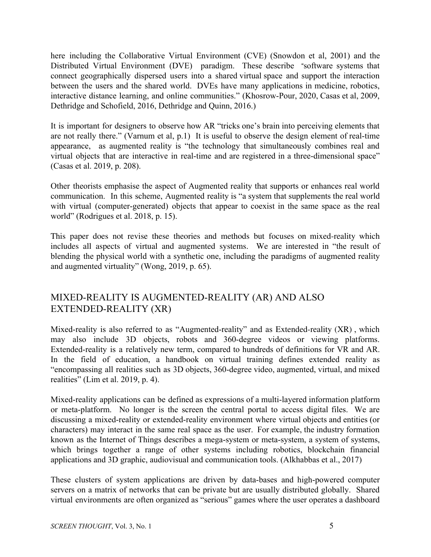here including the Collaborative Virtual Environment (CVE) (Snowdon et al, 2001) and the Distributed Virtual Environment (DVE) paradigm. These describe "software systems that connect geographically dispersed users into a shared virtual space and support the interaction between the users and the shared world. DVEs have many applications in medicine, robotics, interactive distance learning, and online communities." (Khosrow-Pour, 2020, Casas et al, 2009, Dethridge and Schofield, 2016, Dethridge and Quinn, 2016.)

It is important for designers to observe how AR "tricks one's brain into perceiving elements that are not really there." (Varnum et al, p.1) It is useful to observe the design element of real-time appearance, as augmented reality is "the technology that simultaneously combines real and virtual objects that are interactive in real-time and are registered in a three-dimensional space" (Casas et al. 2019, p. 208).

Other theorists emphasise the aspect of Augmented reality that supports or enhances real world communication. In this scheme, Augmented reality is "a system that supplements the real world with virtual (computer-generated) objects that appear to coexist in the same space as the real world" (Rodrigues et al. 2018, p. 15).

This paper does not revise these theories and methods but focuses on mixed-reality which includes all aspects of virtual and augmented systems. We are interested in "the result of blending the physical world with a synthetic one, including the paradigms of augmented reality and augmented virtuality" (Wong, 2019, p. 65).

# MIXED-REALITY IS AUGMENTED-REALITY (AR) AND ALSO EXTENDED-REALITY (XR)

Mixed-reality is also referred to as "Augmented-reality" and as Extended-reality (XR) , which may also include 3D objects, robots and 360-degree videos or viewing platforms. Extended-reality is a relatively new term, compared to hundreds of definitions for VR and AR. In the field of education, a handbook on virtual training defines extended reality as "encompassing all realities such as 3D objects, 360-degree video, augmented, virtual, and mixed realities" (Lim et al. 2019, p. 4).

Mixed-reality applications can be defined as expressions of a multi-layered information platform or meta-platform. No longer is the screen the central portal to access digital files. We are discussing a mixed-reality or extended-reality environment where virtual objects and entities (or characters) may interact in the same real space as the user. For example, the industry formation known as the Internet of Things describes a mega-system or meta-system, a system of systems, which brings together a range of other systems including robotics, blockchain financial applications and 3D graphic, audiovisual and communication tools. (Alkhabbas et al., 2017)

These clusters of system applications are driven by data-bases and high-powered computer servers on a matrix of networks that can be private but are usually distributed globally. Shared virtual environments are often organized as "serious" games where the user operates a dashboard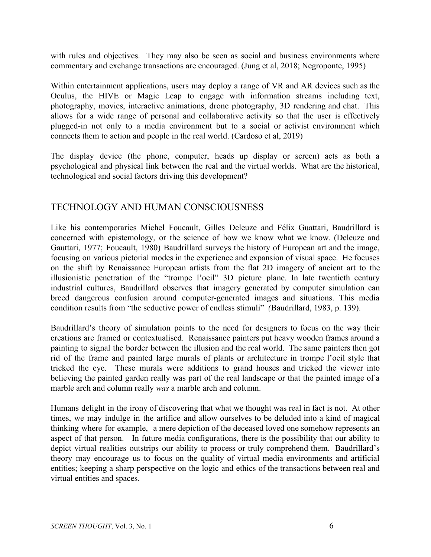with rules and objectives. They may also be seen as social and business environments where commentary and exchange transactions are encouraged. (Jung et al, 2018; Negroponte, 1995)

Within entertainment applications, users may deploy a range of VR and AR devices such as the Oculus, the HIVE or Magic Leap to engage with information streams including text, photography, movies, interactive animations, drone photography, 3D rendering and chat. This allows for a wide range of personal and collaborative activity so that the user is effectively plugged-in not only to a media environment but to a social or activist environment which connects them to action and people in the real world. (Cardoso et al, 2019)

The display device (the phone, computer, heads up display or screen) acts as both a psychological and physical link between the real and the virtual worlds. What are the historical, technological and social factors driving this development?

#### TECHNOLOGY AND HUMAN CONSCIOUSNESS

Like his contemporaries Michel Foucault, Gilles Deleuze and Félix Guattari, Baudrillard is concerned with epistemology, or the science of how we know what we know. (Deleuze and Gauttari, 1977; Foucault, 1980) Baudrillard surveys the history of European art and the image, focusing on various pictorial modes in the experience and expansion of visual space. He focuses on the shift by Renaissance European artists from the flat 2D imagery of ancient art to the illusionistic penetration of the "trompe l'oeil" 3D picture plane. In late twentieth century industrial cultures, Baudrillard observes that imagery generated by computer simulation can breed dangerous confusion around computer-generated images and situations. This media condition results from "the seductive power of endless stimuli" *(*Baudrillard, 1983, p. 139).

Baudrillard's theory of simulation points to the need for designers to focus on the way their creations are framed or contextualised. Renaissance painters put heavy wooden frames around a painting to signal the border between the illusion and the real world. The same painters then got rid of the frame and painted large murals of plants or architecture in trompe l'oeil style that tricked the eye. These murals were additions to grand houses and tricked the viewer into believing the painted garden really was part of the real landscape or that the painted image of a marble arch and column really *was* a marble arch and column.

Humans delight in the irony of discovering that what we thought was real in fact is not. At other times, we may indulge in the artifice and allow ourselves to be deluded into a kind of magical thinking where for example, a mere depiction of the deceased loved one somehow represents an aspect of that person. In future media configurations, there is the possibility that our ability to depict virtual realities outstrips our ability to process or truly comprehend them. Baudrillard's theory may encourage us to focus on the quality of virtual media environments and artificial entities; keeping a sharp perspective on the logic and ethics of the transactions between real and virtual entities and spaces.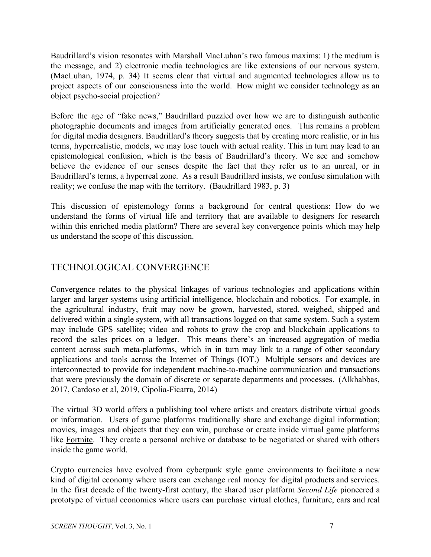Baudrillard's vision resonates with Marshall MacLuhan's two famous maxims: 1) the medium is the message, and 2) electronic media technologies are like extensions of our nervous system. (MacLuhan, 1974, p. 34) It seems clear that virtual and augmented technologies allow us to project aspects of our consciousness into the world. How might we consider technology as an object psycho-social projection?

Before the age of "fake news," Baudrillard puzzled over how we are to distinguish authentic photographic documents and images from artificially generated ones. This remains a problem for digital media designers. Baudrillard's theory suggests that by creating more realistic, or in his terms, hyperrealistic, models, we may lose touch with actual reality. This in turn may lead to an epistemological confusion, which is the basis of Baudrillard's theory. We see and somehow believe the evidence of our senses despite the fact that they refer us to an unreal, or in Baudrillard's terms, a hyperreal zone. As a result Baudrillard insists, we confuse simulation with reality; we confuse the map with the territory. (Baudrillard 1983, p. 3)

This discussion of epistemology forms a background for central questions: How do we understand the forms of virtual life and territory that are available to designers for research within this enriched media platform? There are several key convergence points which may help us understand the scope of this discussion.

# TECHNOLOGICAL CONVERGENCE

Convergence relates to the physical linkages of various technologies and applications within larger and larger systems using artificial intelligence, blockchain and robotics. For example, in the agricultural industry, fruit may now be grown, harvested, stored, weighed, shipped and delivered within a single system, with all transactions logged on that same system. Such a system may include GPS satellite; video and robots to grow the crop and blockchain applications to record the sales prices on a ledger. This means there's an increased aggregation of media content across such meta-platforms, which in in turn may link to a range of other secondary applications and tools across the Internet of Things (IOT.) Multiple sensors and devices are interconnected to provide for independent machine-to-machine communication and transactions that were previously the domain of discrete or separate departments and processes. (Alkhabbas, 2017, Cardoso et al, 2019, Cipolia-Ficarra, 2014)

The virtual 3D world offers a publishing tool where artists and creators distribute virtual goods or information. Users of game platforms traditionally share and exchange digital information; movies, images and objects that they can win, purchase or create inside virtual game platforms like Fortnite. They create a personal archive or database to be negotiated or shared with others inside the game world.

Crypto currencies have evolved from cyberpunk style game environments to facilitate a new kind of digital economy where users can exchange real money for digital products and services. In the first decade of the twenty-first century, the shared user platform *Second Life* pioneered a prototype of virtual economies where users can purchase virtual clothes, furniture, cars and real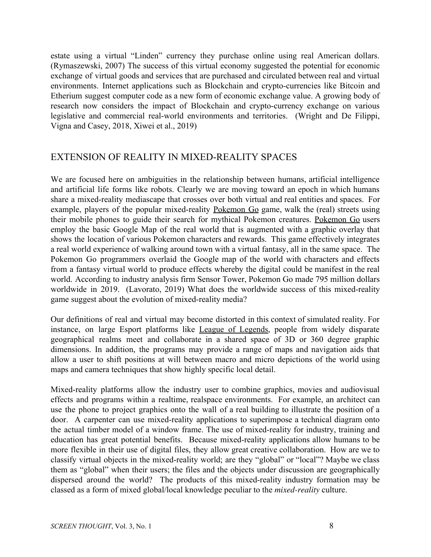estate using a virtual "Linden" currency they purchase online using real American dollars. (Rymaszewski, 2007) The success of this virtual economy suggested the potential for economic exchange of virtual goods and services that are purchased and circulated between real and virtual environments. Internet applications such as Blockchain and crypto-currencies like Bitcoin and Etherium suggest computer code as a new form of economic exchange value. A growing body of research now considers the impact of Blockchain and crypto-currency exchange on various legislative and commercial real-world environments and territories. (Wright and De Filippi, Vigna and Casey, 2018, Xiwei et al., 2019)

#### EXTENSION OF REALITY IN MIXED-REALITY SPACES

We are focused here on ambiguities in the relationship between humans, artificial intelligence and artificial life forms like robots. Clearly we are moving toward an epoch in which humans share a mixed-reality mediascape that crosses over both virtual and real entities and spaces. For example, players of the popular mixed-reality Pokemon Go game, walk the (real) streets using their mobile phones to guide their search for mythical Pokemon creatures. Pokemon Go users employ the basic Google Map of the real world that is augmented with a graphic overlay that shows the location of various Pokemon characters and rewards. This game effectively integrates a real world experience of walking around town with a virtual fantasy, all in the same space. The Pokemon Go programmers overlaid the Google map of the world with characters and effects from a fantasy virtual world to produce effects whereby the digital could be manifest in the real world. According to industry analysis firm Sensor Tower, Pokemon Go made 795 million dollars worldwide in 2019. (Lavorato, 2019) What does the worldwide success of this mixed-reality game suggest about the evolution of mixed-reality media?

Our definitions of real and virtual may become distorted in this context of simulated reality. For instance, on large Esport platforms like League of Legends, people from widely disparate geographical realms meet and collaborate in a shared space of 3D or 360 degree graphic dimensions. In addition, the programs may provide a range of maps and navigation aids that allow a user to shift positions at will between macro and micro depictions of the world using maps and camera techniques that show highly specific local detail.

Mixed-reality platforms allow the industry user to combine graphics, movies and audiovisual effects and programs within a realtime, realspace environments. For example, an architect can use the phone to project graphics onto the wall of a real building to illustrate the position of a door. A carpenter can use mixed-reality applications to superimpose a technical diagram onto the actual timber model of a window frame. The use of mixed-reality for industry, training and education has great potential benefits. Because mixed-reality applications allow humans to be more flexible in their use of digital files, they allow great creative collaboration. How are we to classify virtual objects in the mixed-reality world; are they "global" or "local"? Maybe we class them as "global" when their users; the files and the objects under discussion are geographically dispersed around the world? The products of this mixed-reality industry formation may be classed as a form of mixed global/local knowledge peculiar to the *mixed-reality* culture.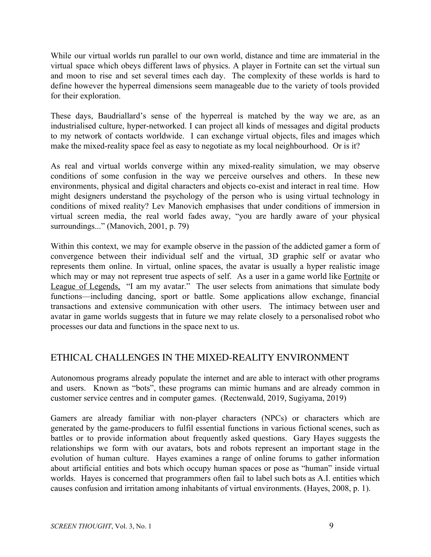While our virtual worlds run parallel to our own world, distance and time are immaterial in the virtual space which obeys different laws of physics. A player in Fortnite can set the virtual sun and moon to rise and set several times each day. The complexity of these worlds is hard to define however the hyperreal dimensions seem manageable due to the variety of tools provided for their exploration.

These days, Baudriallard's sense of the hyperreal is matched by the way we are, as an industrialised culture, hyper-networked. I can project all kinds of messages and digital products to my network of contacts worldwide. I can exchange virtual objects, files and images which make the mixed-reality space feel as easy to negotiate as my local neighbourhood. Or is it?

As real and virtual worlds converge within any mixed-reality simulation, we may observe conditions of some confusion in the way we perceive ourselves and others. In these new environments, physical and digital characters and objects co-exist and interact in real time. How might designers understand the psychology of the person who is using virtual technology in conditions of mixed reality? Lev Manovich emphasises that under conditions of immersion in virtual screen media, the real world fades away, "you are hardly aware of your physical surroundings..." (Manovich, 2001, p. 79)

Within this context, we may for example observe in the passion of the addicted gamer a form of convergence between their individual self and the virtual, 3D graphic self or avatar who represents them online. In virtual, online spaces, the avatar is usually a hyper realistic image which may or may not represent true aspects of self. As a user in a game world like Fortnite or League of Legends, "I am my avatar." The user selects from animations that simulate body functions—including dancing, sport or battle. Some applications allow exchange, financial transactions and extensive communication with other users. The intimacy between user and avatar in game worlds suggests that in future we may relate closely to a personalised robot who processes our data and functions in the space next to us.

### ETHICAL CHALLENGES IN THE MIXED-REALITY ENVIRONMENT

Autonomous programs already populate the internet and are able to interact with other programs and users. Known as "bots", these programs can mimic humans and are already common in customer service centres and in computer games. (Rectenwald, 2019, Sugiyama, 2019)

Gamers are already familiar with non-player characters (NPCs) or characters which are generated by the game-producers to fulfil essential functions in various fictional scenes, such as battles or to provide information about frequently asked questions. Gary Hayes suggests the relationships we form with our avatars, bots and robots represent an important stage in the evolution of human culture. Hayes examines a range of online forums to gather information about artificial entities and bots which occupy human spaces or pose as "human" inside virtual worlds. Hayes is concerned that programmers often fail to label such bots as A.I. entities which causes confusion and irritation among inhabitants of virtual environments. (Hayes, 2008, p. 1).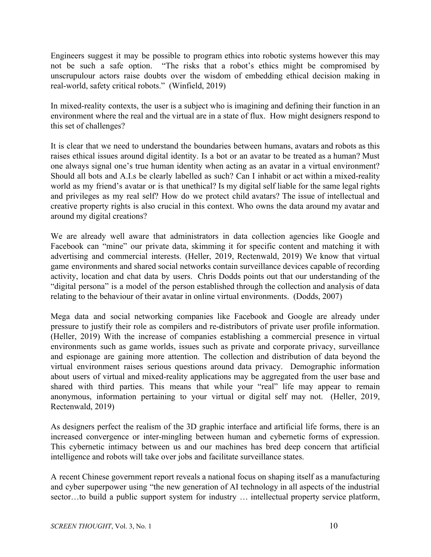Engineers suggest it may be possible to program ethics into robotic systems however this may not be such a safe option. "The risks that a robot's ethics might be compromised by unscrupulour actors raise doubts over the wisdom of embedding ethical decision making in real-world, safety critical robots." (Winfield, 2019)

In mixed-reality contexts, the user is a subject who is imagining and defining their function in an environment where the real and the virtual are in a state of flux. How might designers respond to this set of challenges?

It is clear that we need to understand the boundaries between humans, avatars and robots as this raises ethical issues around digital identity. Is a bot or an avatar to be treated as a human? Must one always signal one's true human identity when acting as an avatar in a virtual environment? Should all bots and A.I.s be clearly labelled as such? Can I inhabit or act within a mixed-reality world as my friend's avatar or is that unethical? Is my digital self liable for the same legal rights and privileges as my real self? How do we protect child avatars? The issue of intellectual and creative property rights is also crucial in this context. Who owns the data around my avatar and around my digital creations?

We are already well aware that administrators in data collection agencies like Google and Facebook can "mine" our private data, skimming it for specific content and matching it with advertising and commercial interests. (Heller, 2019, Rectenwald, 2019) We know that virtual game environments and shared social networks contain surveillance devices capable of recording activity, location and chat data by users. Chris Dodds points out that our understanding of the "digital persona" is a model of the person established through the collection and analysis of data relating to the behaviour of their avatar in online virtual environments. (Dodds, 2007)

Mega data and social networking companies like Facebook and Google are already under pressure to justify their role as compilers and re-distributors of private user profile information. (Heller, 2019) With the increase of companies establishing a commercial presence in virtual environments such as game worlds, issues such as private and corporate privacy, surveillance and espionage are gaining more attention. The collection and distribution of data beyond the virtual environment raises serious questions around data privacy. Demographic information about users of virtual and mixed-reality applications may be aggregated from the user base and shared with third parties. This means that while your "real" life may appear to remain anonymous, information pertaining to your virtual or digital self may not. (Heller, 2019, Rectenwald, 2019)

As designers perfect the realism of the 3D graphic interface and artificial life forms, there is an increased convergence or inter-mingling between human and cybernetic forms of expression. This cybernetic intimacy between us and our machines has bred deep concern that artificial intelligence and robots will take over jobs and facilitate surveillance states.

A recent Chinese government report reveals a national focus on shaping itself as a manufacturing and cyber superpower using "the new generation of AI technology in all aspects of the industrial sector…to build a public support system for industry ... intellectual property service platform,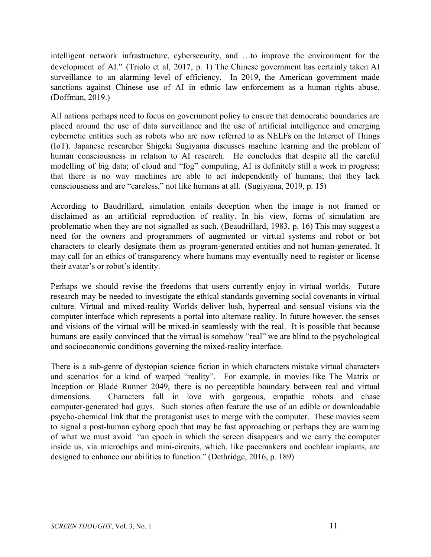intelligent network infrastructure, cybersecurity, and …to improve the environment for the development of AI." (Triolo et al, 2017, p. 1) The Chinese government has certainly taken AI surveillance to an alarming level of efficiency. In 2019, the American government made sanctions against Chinese use of AI in ethnic law enforcement as a human rights abuse. (Doffman, 2019.)

All nations perhaps need to focus on government policy to ensure that democratic boundaries are placed around the use of data surveillance and the use of artificial intelligence and emerging cybernetic entities such as robots who are now referred to as NELFs on the Internet of Things (IoT). Japanese researcher Shigeki Sugiyama discusses machine learning and the problem of human consciousness in relation to AI research. He concludes that despite all the careful modelling of big data; of cloud and "fog" computing, AI is definitely still a work in progress; that there is no way machines are able to act independently of humans; that they lack consciousness and are "careless," not like humans at all. (Sugiyama, 2019, p. 15)

According to Baudrillard, simulation entails deception when the image is not framed or disclaimed as an artificial reproduction of reality. In his view, forms of simulation are problematic when they are not signalled as such. (Beaudrillard, 1983, p. 16) This may suggest a need for the owners and programmers of augmented or virtual systems and robot or bot characters to clearly designate them as program-generated entities and not human-generated. It may call for an ethics of transparency where humans may eventually need to register or license their avatar's or robot's identity.

Perhaps we should revise the freedoms that users currently enjoy in virtual worlds. Future research may be needed to investigate the ethical standards governing social covenants in virtual culture. Virtual and mixed-reality Worlds deliver lush, hyperreal and sensual visions via the computer interface which represents a portal into alternate reality. In future however, the senses and visions of the virtual will be mixed-in seamlessly with the real. It is possible that because humans are easily convinced that the virtual is somehow "real" we are blind to the psychological and socioeconomic conditions governing the mixed-reality interface.

There is a sub-genre of dystopian science fiction in which characters mistake virtual characters and scenarios for a kind of warped "reality". For example, in movies like The Matrix or Inception or Blade Runner 2049, there is no perceptible boundary between real and virtual dimensions. Characters fall in love with gorgeous, empathic robots and chase computer-generated bad guys. Such stories often feature the use of an edible or downloadable psycho-chemical link that the protagonist uses to merge with the computer. These movies seem to signal a post-human cyborg epoch that may be fast approaching or perhaps they are warning of what we must avoid: "an epoch in which the screen disappears and we carry the computer inside us, via microchips and mini-circuits, which, like pacemakers and cochlear implants, are designed to enhance our abilities to function." (Dethridge, 2016, p. 189)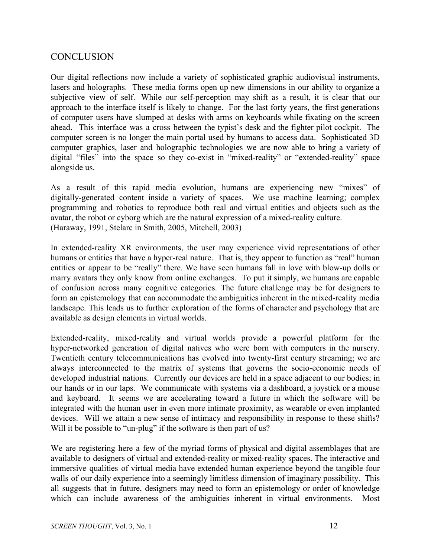## **CONCLUSION**

Our digital reflections now include a variety of sophisticated graphic audiovisual instruments, lasers and holographs. These media forms open up new dimensions in our ability to organize a subjective view of self. While our self-perception may shift as a result, it is clear that our approach to the interface itself is likely to change. For the last forty years, the first generations of computer users have slumped at desks with arms on keyboards while fixating on the screen ahead. This interface was a cross between the typist's desk and the fighter pilot cockpit. The computer screen is no longer the main portal used by humans to access data. Sophisticated 3D computer graphics, laser and holographic technologies we are now able to bring a variety of digital "files" into the space so they co-exist in "mixed-reality" or "extended-reality" space alongside us.

As a result of this rapid media evolution, humans are experiencing new "mixes" of digitally-generated content inside a variety of spaces. We use machine learning; complex programming and robotics to reproduce both real and virtual entities and objects such as the avatar, the robot or cyborg which are the natural expression of a mixed-reality culture. (Haraway, 1991, Stelarc in Smith, 2005, Mitchell, 2003)

In extended-reality XR environments, the user may experience vivid representations of other humans or entities that have a hyper-real nature. That is, they appear to function as "real" human entities or appear to be "really" there. We have seen humans fall in love with blow-up dolls or marry avatars they only know from online exchanges. To put it simply, we humans are capable of confusion across many cognitive categories. The future challenge may be for designers to form an epistemology that can accommodate the ambiguities inherent in the mixed-reality media landscape. This leads us to further exploration of the forms of character and psychology that are available as design elements in virtual worlds.

Extended-reality, mixed-reality and virtual worlds provide a powerful platform for the hyper-networked generation of digital natives who were born with computers in the nursery. Twentieth century telecommunications has evolved into twenty-first century streaming; we are always interconnected to the matrix of systems that governs the socio-economic needs of developed industrial nations. Currently our devices are held in a space adjacent to our bodies; in our hands or in our laps. We communicate with systems via a dashboard, a joystick or a mouse and keyboard. It seems we are accelerating toward a future in which the software will be integrated with the human user in even more intimate proximity, as wearable or even implanted devices. Will we attain a new sense of intimacy and responsibility in response to these shifts? Will it be possible to "un-plug" if the software is then part of us?

We are registering here a few of the myriad forms of physical and digital assemblages that are available to designers of virtual and extended-reality or mixed-reality spaces. The interactive and immersive qualities of virtual media have extended human experience beyond the tangible four walls of our daily experience into a seemingly limitless dimension of imaginary possibility. This all suggests that in future, designers may need to form an epistemology or order of knowledge which can include awareness of the ambiguities inherent in virtual environments. Most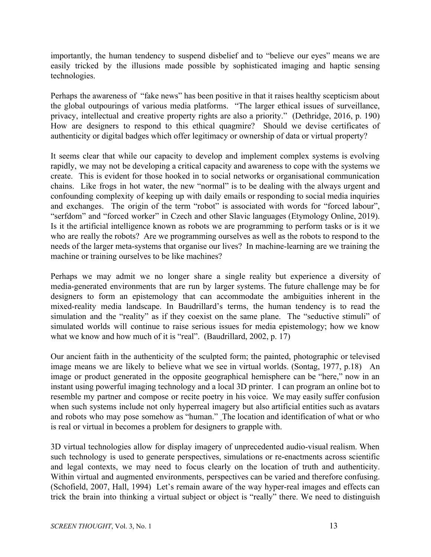importantly, the human tendency to suspend disbelief and to "believe our eyes" means we are easily tricked by the illusions made possible by sophisticated imaging and haptic sensing technologies.

Perhaps the awareness of "fake news" has been positive in that it raises healthy scepticism about the global outpourings of various media platforms. "The larger ethical issues of surveillance, privacy, intellectual and creative property rights are also a priority." (Dethridge, 2016, p. 190) How are designers to respond to this ethical quagmire? Should we devise certificates of authenticity or digital badges which offer legitimacy or ownership of data or virtual property?

It seems clear that while our capacity to develop and implement complex systems is evolving rapidly, we may not be developing a critical capacity and awareness to cope with the systems we create. This is evident for those hooked in to social networks or organisational communication chains. Like frogs in hot water, the new "normal" is to be dealing with the always urgent and confounding complexity of keeping up with daily emails or responding to social media inquiries and exchanges. The origin of the term "robot" is associated with words for "forced labour", "serfdom" and "forced worker" in Czech and other Slavic languages (Etymology Online, 2019). Is it the artificial intelligence known as robots we are programming to perform tasks or is it we who are really the robots? Are we programming ourselves as well as the robots to respond to the needs of the larger meta-systems that organise our lives? In machine-learning are we training the machine or training ourselves to be like machines?

Perhaps we may admit we no longer share a single reality but experience a diversity of media-generated environments that are run by larger systems. The future challenge may be for designers to form an epistemology that can accommodate the ambiguities inherent in the mixed-reality media landscape. In Baudrillard's terms, the human tendency is to read the simulation and the "reality" as if they coexist on the same plane. The "seductive stimuli" of simulated worlds will continue to raise serious issues for media epistemology; how we know what we know and how much of it is "real". (Baudrillard, 2002, p. 17)

Our ancient faith in the authenticity of the sculpted form; the painted, photographic or televised image means we are likely to believe what we see in virtual worlds. (Sontag, 1977, p.18) An image or product generated in the opposite geographical hemisphere can be "here," now in an instant using powerful imaging technology and a local 3D printer. I can program an online bot to resemble my partner and compose or recite poetry in his voice. We may easily suffer confusion when such systems include not only hyperreal imagery but also artificial entities such as avatars and robots who may pose somehow as "human." The location and identification of what or who is real or virtual in becomes a problem for designers to grapple with.

3D virtual technologies allow for display imagery of unprecedented audio-visual realism. When such technology is used to generate perspectives, simulations or re-enactments across scientific and legal contexts, we may need to focus clearly on the location of truth and authenticity. Within virtual and augmented environments, perspectives can be varied and therefore confusing. (Schofield, 2007, Hall, 1994) Let's remain aware of the way hyper-real images and effects can trick the brain into thinking a virtual subject or object is "really" there. We need to distinguish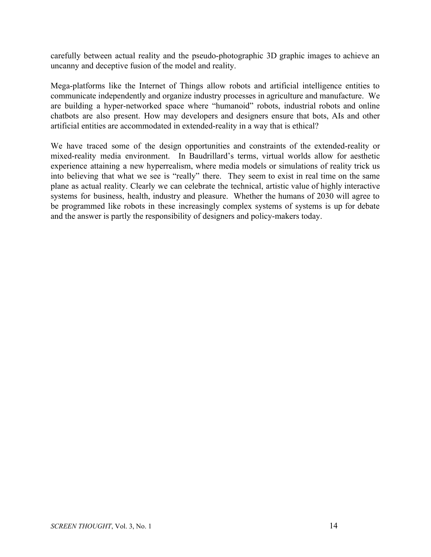carefully between actual reality and the pseudo-photographic 3D graphic images to achieve an uncanny and deceptive fusion of the model and reality.

Mega-platforms like the Internet of Things allow robots and artificial intelligence entities to communicate independently and organize industry processes in agriculture and manufacture. We are building a hyper-networked space where "humanoid" robots, industrial robots and online chatbots are also present. How may developers and designers ensure that bots, AIs and other artificial entities are accommodated in extended-reality in a way that is ethical?

We have traced some of the design opportunities and constraints of the extended-reality or mixed-reality media environment. In Baudrillard's terms, virtual worlds allow for aesthetic experience attaining a new hyperrealism, where media models or simulations of reality trick us into believing that what we see is "really" there. They seem to exist in real time on the same plane as actual reality. Clearly we can celebrate the technical, artistic value of highly interactive systems for business, health, industry and pleasure. Whether the humans of 2030 will agree to be programmed like robots in these increasingly complex systems of systems is up for debate and the answer is partly the responsibility of designers and policy-makers today.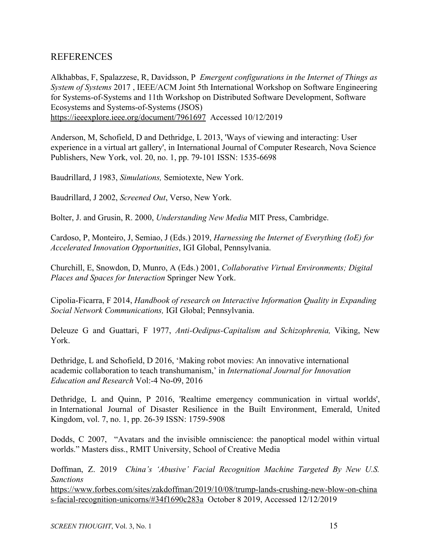### REFERENCES

Alkhabbas, F, Spalazzese, R, Davidsson, P *Emergent configurations in the Internet of Things as System of Systems* 2017 , IEEE/ACM Joint 5th International Workshop on Software Engineering for Systems-of-Systems and 11th Workshop on Distributed Software Development, Software Ecosystems and Systems-of-Systems (JSOS) <https://ieeexplore.ieee.org/document/7961697> Accessed 10/12/2019

Anderson, M, Schofield, D and Dethridge, L 2013, 'Ways of viewing and interacting: User experience in a virtual art gallery', in International Journal of Computer Research, Nova Science Publishers, New York, vol. 20, no. 1, pp. 79-101 ISSN: 1535-6698

Baudrillard, J 1983, *Simulations,* Semiotexte, New York.

Baudrillard, J 2002, *Screened Out*, Verso, New York.

Bolter, J. and Grusin, R. 2000, *Understanding New Media* MIT Press, Cambridge.

Cardoso, P, Monteiro, J, Semiao, J (Eds.) 2019, *Harnessing the Internet of Everything (IoE) for Accelerated Innovation Opportunities*, IGI Global, Pennsylvania.

Churchill, E, Snowdon, D, Munro, A (Eds.) 2001, *Collaborative Virtual Environments; Digital Places and Spaces for Interaction* Springer New York.

Cipolia-Ficarra, F 2014, *Handbook of research on Interactive Information Quality in Expanding Social Network Communications,* IGI Global; Pennsylvania.

Deleuze G and Guattari, F 1977, *Anti-Oedipus-Capitalism and Schizophrenia,* Viking, New York.

Dethridge, L and Schofield, D 2016, 'Making robot movies: An innovative international academic collaboration to teach transhumanism,' in *International Journal for Innovation Education and Research* Vol:-4 No-09, 2016

Dethridge, L and Quinn, P 2016, 'Realtime emergency communication in virtual worlds', in International Journal of Disaster Resilience in the Built Environment, Emerald, United Kingdom, vol. 7, no. 1, pp. 26-39 ISSN: 1759-5908

Dodds, C 2007, "Avatars and the invisible omniscience: the panoptical model within virtual worlds." Masters diss., RMIT University, School of Creative Media

Doffman, Z. 2019 *China's 'Abusive' Facial Recognition Machine Targeted By New U.S. Sanctions* [https://www.forbes.com/sites/zakdoffman/2019/10/08/trump-lands-crushing-new-blow-on-china](https://www.forbes.com/sites/zakdoffman/2019/10/08/trump-lands-crushing-new-blow-on-chinas-facial-recognition-unicorns/#34f1690c283a) [s-facial-recognition-unicorns/#34f1690c283a](https://www.forbes.com/sites/zakdoffman/2019/10/08/trump-lands-crushing-new-blow-on-chinas-facial-recognition-unicorns/#34f1690c283a) October 8 2019, Accessed 12/12/2019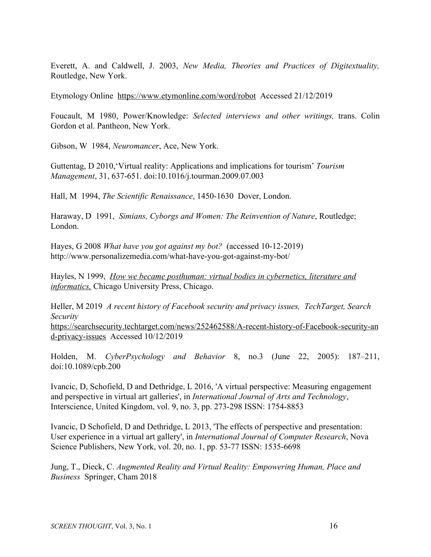Everett, A. and Caldwell, J. 2003, *New Media, Theories and Practices of Digitextuality,* Routledge, New York.

Etymology Online <https://www.etymonline.com/word/robot>Accessed 21/12/2019

Foucault, M 1980, Power/Knowledge: *Selected interviews and other writings,* trans. Colin Gordon et al. Pantheon, New York.

Gibson, W 1984, *Neuromancer*, Ace, New York.

Guttentag, D 2010,'Virtual reality: Applications and implications for tourism' *Tourism Management*, 31, 637-651. doi:10.1016/j.tourman.2009.07.003

Hall, M 1994, *The Scientific Renaissance*, 1450-1630 Dover, London.

Haraway, D 1991, *Simians, Cyborgs and Women: The Reinvention of Nature*, Routledge; London.

Hayes, G 2008 *What have you got against my bot?* (accessed 10-12-2019) http://www.personalizemedia.com/what-have-you-got-against-my-bot/

Hayles, N 1999, *How we became posthuman: virtual bodies in cybernetics, literature and informatics,* Chicago University Press, Chicago.

Heller, M 2019 *A recent history of Facebook security and privacy issues, TechTarget, Search Security*

[https://searchsecurity.techtarget.com/news/252462588/A-recent-history-of-Facebook-security-an](https://searchsecurity.techtarget.com/news/252462588/A-recent-history-of-Facebook-security-and-privacy-issues) [d-privacy-issues](https://searchsecurity.techtarget.com/news/252462588/A-recent-history-of-Facebook-security-and-privacy-issues) Accessed 10/12/2019

Holden, M. *CyberPsychology and Behavior* 8, no.3 (June 22, 2005): 187–211, doi:10.1089/cpb.200

Ivancic, D, Schofield, D and Dethridge, L 2016, 'A virtual perspective: Measuring engagement and perspective in virtual art galleries', in *International Journal of Arts and Technology*, Interscience, United Kingdom, vol. 9, no. 3, pp. 273-298 ISSN: 1754-8853

Ivancic, D Schofield, D and Dethridge, L 2013, 'The effects of perspective and presentation: User experience in a virtual art gallery', in *International Journal of Computer Research*, Nova Science Publishers, New York, vol. 20, no. 1, pp. 53-77 ISSN: 1535-6698

Jung, T., Dieck, C. *Augmented Reality and Virtual Reality: Empowering Human, Place and Business* Springer, Cham 2018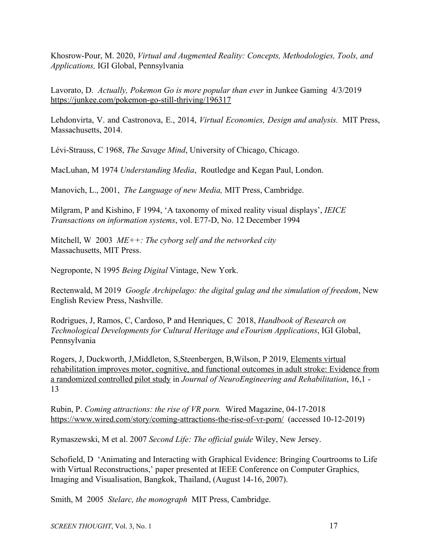Khosrow-Pour, M. 2020, *Virtual and Augmented Reality: Concepts, Methodologies, Tools, and Applications,* IGI Global, Pennsylvania

Lavorato, D. *Actually, Pokemon Go is more popular than ever* in Junkee Gaming 4/3/2019 <https://junkee.com/pokemon-go-still-thriving/196317>

Lehdonvirta, V. and Castronova, E., 2014, *Virtual Economies, Design and analysis.* MIT Press, Massachusetts, 2014.

Lévi-Strauss, C 1968, *The Savage Mind*, University of Chicago, Chicago.

MacLuhan, M 1974 *Understanding Media*, Routledge and Kegan Paul, London.

Manovich, L., 2001, *The Language of new Media,* MIT Press, Cambridge.

Milgram, P and Kishino, F 1994, 'A taxonomy of mixed reality visual displays', *IEICE Transactions on information systems*, vol. E77-D, No. 12 December 1994

Mitchell, W 2003 *ME++: The cyborg self and the networked city* Massachusetts, MIT Press.

Negroponte, N 1995 *Being Digital* Vintage, New York.

Rectenwald, M 2019 *Google Archipelago: the digital gulag and the simulation of freedom*, New English Review Press, Nashville.

Rodrigues, J, Ramos, C, Cardoso, P and Henriques, C 2018, *Handbook of Research on Technological Developments for Cultural Heritage and eTourism Applications*, IGI Global, Pennsylvania

Rogers, J, Duckworth, J,Middleton, S,Steenbergen, B,Wilson, P 2019, [Elements virtual](http://researchbank.rmit.edu.au/list/?cat=quick_filter&form_name=adv_search&search_keys%5Bcore_66%5D=2006092799) [rehabilitation improves motor, cognitive, and functional outcomes in adult stroke: Evidence from](http://researchbank.rmit.edu.au/list/?cat=quick_filter&form_name=adv_search&search_keys%5Bcore_66%5D=2006092799) [a randomized controlled pilot study](http://researchbank.rmit.edu.au/list/?cat=quick_filter&form_name=adv_search&search_keys%5Bcore_66%5D=2006092799) in *Journal of NeuroEngineering and Rehabilitation*, 16,1 - 13

Rubin, P. *Coming attractions: the rise of VR porn.* Wired Magazine, 04-17-2018 <https://www.wired.com/story/coming-attractions-the-rise-of-vr-porn/>(accessed 10-12-2019)

Rymaszewski, M et al. 2007 *Second Life: The official guide* Wiley, New Jersey.

Schofield, D 'Animating and Interacting with Graphical Evidence: Bringing Courtrooms to Life with Virtual Reconstructions,' paper presented at IEEE Conference on Computer Graphics, Imaging and Visualisation, Bangkok, Thailand, (August 14-16, 2007).

Smith, M 2005 *Stelarc, the monograph* MIT Press, Cambridge.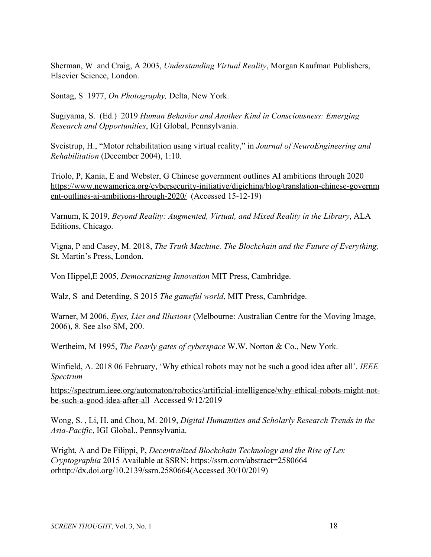Sherman, W and Craig, A 2003, *Understanding Virtual Reality*, Morgan Kaufman Publishers, Elsevier Science, London.

Sontag, S 1977, *On Photography,* Delta, New York.

Sugiyama, S. (Ed.) 2019 *Human Behavior and Another Kind in Consciousness: Emerging Research and Opportunities*, IGI Global, Pennsylvania.

Sveistrup, H., "Motor rehabilitation using virtual reality," in *Journal of NeuroEngineering and Rehabilitation* (December 2004), 1:10.

Triolo, P, Kania, E and Webster, G Chinese government outlines AI ambitions through 2020 [https://www.newamerica.org/cybersecurity-initiative/digichina/blog/translation-chinese-governm](https://www.newamerica.org/cybersecurity-initiative/digichina/blog/translation-chinese-government-outlines-ai-ambitions-through-2020/) [ent-outlines-ai-ambitions-through-2020/](https://www.newamerica.org/cybersecurity-initiative/digichina/blog/translation-chinese-government-outlines-ai-ambitions-through-2020/) (Accessed 15-12-19)

Varnum, K 2019, *Beyond Reality: Augmented, Virtual, and Mixed Reality in the Library*, ALA Editions, Chicago.

Vigna, P and Casey, M. 2018, *The Truth Machine. The Blockchain and the Future of Everything,* St. Martin's Press, London.

Von Hippel,E 2005, *Democratizing Innovation* MIT Press, Cambridge.

Walz, S and Deterding, S 2015 *The gameful world*, MIT Press, Cambridge.

Warner, M 2006, *Eyes, Lies and Illusions* (Melbourne: Australian Centre for the Moving Image, 2006), 8. See also SM, 200.

Wertheim, M 1995, *The Pearly gates of cyberspace* W.W. Norton & Co., New York.

Winfield, A. 2018 06 February, 'Why ethical robots may not be such a good idea after all'. *IEEE Spectrum*

[https://spectrum.ieee.org/automaton/robotics/artificial-intelligence/why-ethical-robots-might-not](https://spectrum.ieee.org/automaton/robotics/artificial-intelligence/why-ethical-robots-might-not-be-such-a-good-idea-after-all)[be-such-a-good-idea-after-all](https://spectrum.ieee.org/automaton/robotics/artificial-intelligence/why-ethical-robots-might-not-be-such-a-good-idea-after-all) Accessed 9/12/2019

Wong, S. , Li, H. and Chou, M. 2019, *Digital Humanities and Scholarly Research Trends in the Asia-Pacific*, IGI Global., Pennsylvania.

Wright, A and De Filippi, P, *Decentralized Blockchain Technology and the Rise of Lex Cryptographia* 2015 Available at SSRN: <https://ssrn.com/abstract=2580664> or[http://dx.doi.org/10.2139/ssrn.2580664](https://dx.doi.org/10.2139/ssrn.2580664)(Accessed 30/10/2019)